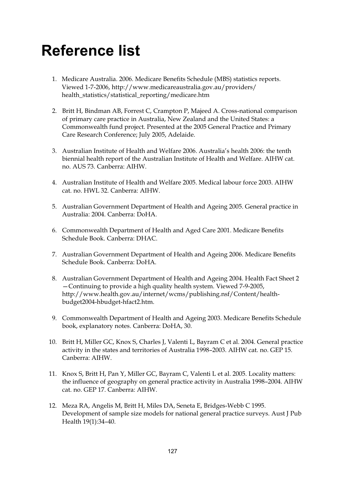## **Reference list**

- 1. Medicare Australia. 2006. Medicare Benefits Schedule (MBS) statistics reports. Viewed 1-7-2006, http://www.medicareaustralia.gov.au/providers/ health\_statistics/statistical\_reporting/medicare.htm
- 2. Britt H, Bindman AB, Forrest C, Crampton P, Majeed A. Cross-national comparison of primary care practice in Australia, New Zealand and the United States: a Commonwealth fund project. Presented at the 2005 General Practice and Primary Care Research Conference; July 2005, Adelaide.
- 3. Australian Institute of Health and Welfare 2006. Australia's health 2006: the tenth biennial health report of the Australian Institute of Health and Welfare. AIHW cat. no. AUS 73. Canberra: AIHW.
- 4. Australian Institute of Health and Welfare 2005. Medical labour force 2003. AIHW cat. no. HWL 32. Canberra: AIHW.
- 5. Australian Government Department of Health and Ageing 2005. General practice in Australia: 2004. Canberra: DoHA.
- 6. Commonwealth Department of Health and Aged Care 2001. Medicare Benefits Schedule Book. Canberra: DHAC.
- 7. Australian Government Department of Health and Ageing 2006. Medicare Benefits Schedule Book. Canberra: DoHA.
- 8. Australian Government Department of Health and Ageing 2004. Health Fact Sheet 2 —Continuing to provide a high quality health system. Viewed 7-9-2005, http://www.health.gov.au/internet/wcms/publishing.nsf/Content/healthbudget2004-hbudget-hfact2.htm.
- 9. Commonwealth Department of Health and Ageing 2003. Medicare Benefits Schedule book, explanatory notes. Canberra: DoHA, 30.
- 10. Britt H, Miller GC, Knox S, Charles J, Valenti L, Bayram C et al. 2004. General practice activity in the states and territories of Australia 1998–2003. AIHW cat. no. GEP 15. Canberra: AIHW.
- 11. Knox S, Britt H, Pan Y, Miller GC, Bayram C, Valenti L et al. 2005. Locality matters: the influence of geography on general practice activity in Australia 1998–2004. AIHW cat. no. GEP 17. Canberra: AIHW.
- 12. Meza RA, Angelis M, Britt H, Miles DA, Seneta E, Bridges-Webb C 1995. Development of sample size models for national general practice surveys. Aust J Pub Health 19(1):34–40.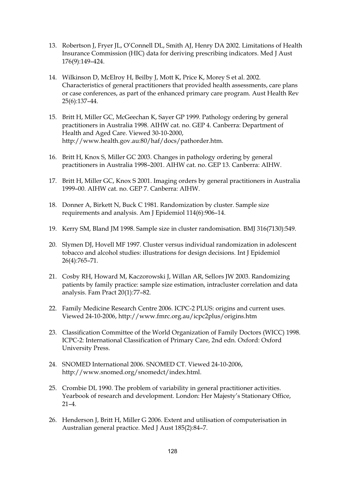- 13. Robertson J, Fryer JL, O'Connell DL, Smith AJ, Henry DA 2002. Limitations of Health Insurance Commission (HIC) data for deriving prescribing indicators. Med J Aust 176(9):149–424.
- 14. Wilkinson D, McElroy H, Beilby J, Mott K, Price K, Morey S et al. 2002. Characteristics of general practitioners that provided health assessments, care plans or case conferences, as part of the enhanced primary care program. Aust Health Rev 25(6):137–44.
- 15. Britt H, Miller GC, McGeechan K, Sayer GP 1999. Pathology ordering by general practitioners in Australia 1998. AIHW cat. no. GEP 4. Canberra: Department of Health and Aged Care. Viewed 30-10-2000, http://www.health.gov.au:80/haf/docs/pathorder.htm.
- 16. Britt H, Knox S, Miller GC 2003. Changes in pathology ordering by general practitioners in Australia 1998–2001. AIHW cat. no. GEP 13. Canberra: AIHW.
- 17. Britt H, Miller GC, Knox S 2001. Imaging orders by general practitioners in Australia 1999–00. AIHW cat. no. GEP 7. Canberra: AIHW.
- 18. Donner A, Birkett N, Buck C 1981. Randomization by cluster. Sample size requirements and analysis. Am J Epidemiol 114(6):906–14.
- 19. Kerry SM, Bland JM 1998. Sample size in cluster randomisation. BMJ 316(7130):549.
- 20. Slymen DJ, Hovell MF 1997. Cluster versus individual randomization in adolescent tobacco and alcohol studies: illustrations for design decisions. Int J Epidemiol 26(4):765–71.
- 21. Cosby RH, Howard M, Kaczorowski J, Willan AR, Sellors JW 2003. Randomizing patients by family practice: sample size estimation, intracluster correlation and data analysis. Fam Pract 20(1):77–82.
- 22. Family Medicine Research Centre 2006. ICPC-2 PLUS: origins and current uses. Viewed 24-10-2006, http://www.fmrc.org.au/icpc2plus/origins.htm
- 23. Classification Committee of the World Organization of Family Doctors (WICC) 1998. ICPC-2: International Classification of Primary Care, 2nd edn. Oxford: Oxford University Press.
- 24. SNOMED International 2006. SNOMED CT. Viewed 24-10-2006, http://www.snomed.org/snomedct/index.html.
- 25. Crombie DL 1990. The problem of variability in general practitioner activities. Yearbook of research and development. London: Her Majesty's Stationary Office,  $21 - 4$
- 26. Henderson J, Britt H, Miller G 2006. Extent and utilisation of computerisation in Australian general practice. Med J Aust 185(2):84–7.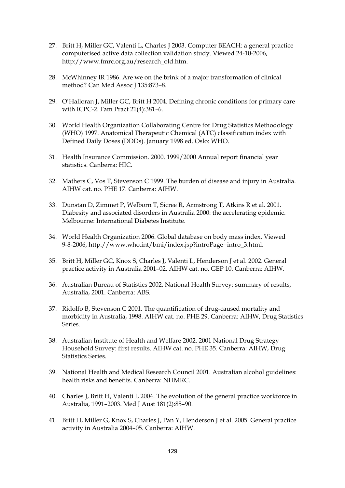- 27. Britt H, Miller GC, Valenti L, Charles J 2003. Computer BEACH: a general practice computerised active data collection validation study. Viewed 24-10-2006, http://www.fmrc.org.au/research\_old.htm.
- 28. McWhinney IR 1986. Are we on the brink of a major transformation of clinical method? Can Med Assoc J 135:873-8.
- 29. O'Halloran J, Miller GC, Britt H 2004. Defining chronic conditions for primary care with ICPC-2. Fam Pract 21(4):381–6.
- 30. World Health Organization Collaborating Centre for Drug Statistics Methodology (WHO) 1997. Anatomical Therapeutic Chemical (ATC) classification index with Defined Daily Doses (DDDs). January 1998 ed. Oslo: WHO.
- 31. Health Insurance Commission. 2000. 1999/2000 Annual report financial year statistics. Canberra: HIC.
- 32. Mathers C, Vos T, Stevenson C 1999. The burden of disease and injury in Australia. AIHW cat. no. PHE 17. Canberra: AIHW.
- 33. Dunstan D, Zimmet P, Welborn T, Sicree R, Armstrong T, Atkins R et al. 2001. Diabesity and associated disorders in Australia 2000: the accelerating epidemic. Melbourne: International Diabetes Institute.
- 34. World Health Organization 2006. Global database on body mass index. Viewed 9-8-2006, http://www.who.int/bmi/index.jsp?introPage=intro\_3.html.
- 35. Britt H, Miller GC, Knox S, Charles J, Valenti L, Henderson J et al. 2002. General practice activity in Australia 2001–02. AIHW cat. no. GEP 10. Canberra: AIHW.
- 36. Australian Bureau of Statistics 2002. National Health Survey: summary of results, Australia, 2001. Canberra: ABS.
- 37. Ridolfo B, Stevenson C 2001. The quantification of drug-caused mortality and morbidity in Australia, 1998. AIHW cat. no. PHE 29. Canberra: AIHW, Drug Statistics Series.
- 38. Australian Institute of Health and Welfare 2002. 2001 National Drug Strategy Household Survey: first results. AIHW cat. no. PHE 35. Canberra: AIHW, Drug Statistics Series.
- 39. National Health and Medical Research Council 2001. Australian alcohol guidelines: health risks and benefits. Canberra: NHMRC.
- 40. Charles J, Britt H, Valenti L 2004. The evolution of the general practice workforce in Australia, 1991–2003. Med J Aust 181(2):85–90.
- 41. Britt H, Miller G, Knox S, Charles J, Pan Y, Henderson J et al. 2005. General practice activity in Australia 2004–05. Canberra: AIHW.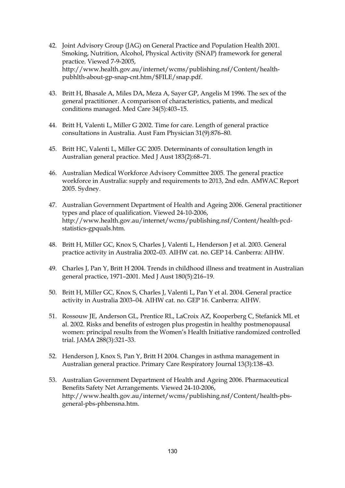- 42. Joint Advisory Group (JAG) on General Practice and Population Health 2001. Smoking, Nutrition, Alcohol, Physical Activity (SNAP) framework for general practice. Viewed 7-9-2005, http://www.health.gov.au/internet/wcms/publishing.nsf/Content/healthpubhlth-about-gp-snap-cnt.htm/\$FILE/snap.pdf.
- 43. Britt H, Bhasale A, Miles DA, Meza A, Sayer GP, Angelis M 1996. The sex of the general practitioner. A comparison of characteristics, patients, and medical conditions managed. Med Care 34(5):403–15.
- 44. Britt H, Valenti L, Miller G 2002. Time for care. Length of general practice consultations in Australia. Aust Fam Physician 31(9):876–80.
- 45. Britt HC, Valenti L, Miller GC 2005. Determinants of consultation length in Australian general practice. Med J Aust 183(2):68–71.
- 46. Australian Medical Workforce Advisory Committee 2005. The general practice workforce in Australia: supply and requirements to 2013, 2nd edn. AMWAC Report 2005. Sydney.
- 47. Australian Government Department of Health and Ageing 2006. General practitioner types and place of qualification. Viewed 24-10-2006, http://www.health.gov.au/internet/wcms/publishing.nsf/Content/health-pcdstatistics-gpquals.htm.
- 48. Britt H, Miller GC, Knox S, Charles J, Valenti L, Henderson J et al. 2003. General practice activity in Australia 2002–03. AIHW cat. no. GEP 14. Canberra: AIHW.
- 49. Charles J, Pan Y, Britt H 2004. Trends in childhood illness and treatment in Australian general practice, 1971–2001. Med J Aust 180(5):216–19.
- 50. Britt H, Miller GC, Knox S, Charles J, Valenti L, Pan Y et al. 2004. General practice activity in Australia 2003–04. AIHW cat. no. GEP 16. Canberra: AIHW.
- 51. Rossouw JE, Anderson GL, Prentice RL, LaCroix AZ, Kooperberg C, Stefanick ML et al. 2002. Risks and benefits of estrogen plus progestin in healthy postmenopausal women: principal results from the Women's Health Initiative randomized controlled trial. JAMA 288(3):321–33.
- 52. Henderson J, Knox S, Pan Y, Britt H 2004. Changes in asthma management in Australian general practice. Primary Care Respiratory Journal 13(3):138–43.
- 53. Australian Government Department of Health and Ageing 2006. Pharmaceutical Benefits Safety Net Arrangements. Viewed 24-10-2006, http://www.health.gov.au/internet/wcms/publishing.nsf/Content/health-pbsgeneral-pbs-phbensna.htm.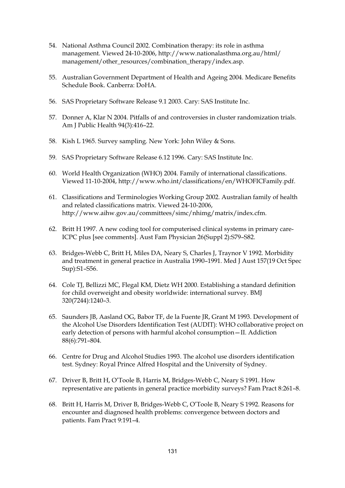- 54. National Asthma Council 2002. Combination therapy: its role in asthma management. Viewed 24-10-2006, http://www.nationalasthma.org.au/html/ management/other\_resources/combination\_therapy/index.asp.
- 55. Australian Government Department of Health and Ageing 2004. Medicare Benefits Schedule Book. Canberra: DoHA.
- 56. SAS Proprietary Software Release 9.1 2003. Cary: SAS Institute Inc.
- 57. Donner A, Klar N 2004. Pitfalls of and controversies in cluster randomization trials. Am J Public Health 94(3):416–22.
- 58. Kish L 1965. Survey sampling. New York: John Wiley & Sons.
- 59. SAS Proprietary Software Release 6.12 1996. Cary: SAS Institute Inc.
- 60. World Health Organization (WHO) 2004. Family of international classifications. Viewed 11-10-2004, http://www.who.int/classifications/en/WHOFICFamily.pdf.
- 61. Classifications and Terminologies Working Group 2002. Australian family of health and related classifications matrix. Viewed 24-10-2006, http://www.aihw.gov.au/committees/simc/nhimg/matrix/index.cfm.
- 62. Britt H 1997. A new coding tool for computerised clinical systems in primary care-ICPC plus [see comments]. Aust Fam Physician 26(Suppl 2):S79–S82.
- 63. Bridges-Webb C, Britt H, Miles DA, Neary S, Charles J, Traynor V 1992. Morbidity and treatment in general practice in Australia 1990–1991. Med J Aust 157(19 Oct Spec Sup):S1–S56.
- 64. Cole TJ, Bellizzi MC, Flegal KM, Dietz WH 2000. Establishing a standard definition for child overweight and obesity worldwide: international survey. BMJ 320(7244):1240–3.
- 65. Saunders JB, Aasland OG, Babor TF, de la Fuente JR, Grant M 1993. Development of the Alcohol Use Disorders Identification Test (AUDIT): WHO collaborative project on early detection of persons with harmful alcohol consumption—II. Addiction 88(6):791–804.
- 66. Centre for Drug and Alcohol Studies 1993. The alcohol use disorders identification test. Sydney: Royal Prince Alfred Hospital and the University of Sydney.
- 67. Driver B, Britt H, O'Toole B, Harris M, Bridges-Webb C, Neary S 1991. How representative are patients in general practice morbidity surveys? Fam Pract 8:261–8.
- 68. Britt H, Harris M, Driver B, Bridges-Webb C, O'Toole B, Neary S 1992. Reasons for encounter and diagnosed health problems: convergence between doctors and patients. Fam Pract 9:191–4.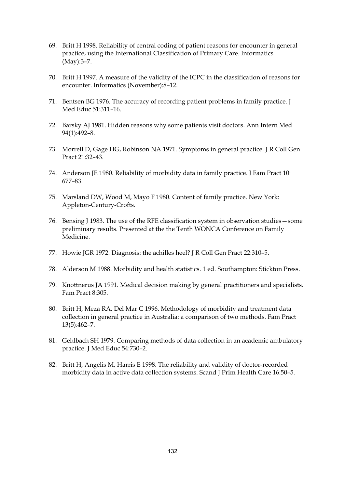- 69. Britt H 1998. Reliability of central coding of patient reasons for encounter in general practice, using the International Classification of Primary Care. Informatics (May):3–7.
- 70. Britt H 1997. A measure of the validity of the ICPC in the classification of reasons for encounter. Informatics (November):8–12.
- 71. Bentsen BG 1976. The accuracy of recording patient problems in family practice. J Med Educ 51:311–16.
- 72. Barsky AJ 1981. Hidden reasons why some patients visit doctors. Ann Intern Med 94(1):492–8.
- 73. Morrell D, Gage HG, Robinson NA 1971. Symptoms in general practice. J R Coll Gen Pract 21:32–43.
- 74. Anderson JE 1980. Reliability of morbidity data in family practice. J Fam Pract 10: 677–83.
- 75. Marsland DW, Wood M, Mayo F 1980. Content of family practice. New York: Appleton-Century-Crofts.
- 76. Bensing J 1983. The use of the RFE classification system in observation studies—some preliminary results. Presented at the the Tenth WONCA Conference on Family Medicine.
- 77. Howie JGR 1972. Diagnosis: the achilles heel? J R Coll Gen Pract 22:310–5.
- 78. Alderson M 1988. Morbidity and health statistics. 1 ed. Southampton: Stickton Press.
- 79. Knottnerus JA 1991. Medical decision making by general practitioners and specialists. Fam Pract 8:305.
- 80. Britt H, Meza RA, Del Mar C 1996. Methodology of morbidity and treatment data collection in general practice in Australia: a comparison of two methods. Fam Pract 13(5):462–7.
- 81. Gehlbach SH 1979. Comparing methods of data collection in an academic ambulatory practice. J Med Educ 54:730–2.
- 82. Britt H, Angelis M, Harris E 1998. The reliability and validity of doctor-recorded morbidity data in active data collection systems. Scand J Prim Health Care 16:50–5.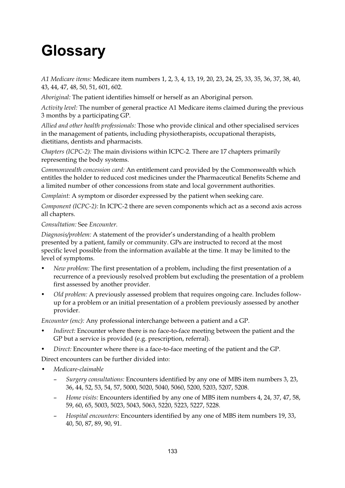## **Glossary**

*A1 Medicare items:* Medicare item numbers 1, 2, 3, 4, 13, 19, 20, 23, 24, 25, 33, 35, 36, 37, 38, 40, 43, 44, 47, 48, 50, 51, 601, 602.

*Aboriginal:* The patient identifies himself or herself as an Aboriginal person.

*Activity level:* The number of general practice A1 Medicare items claimed during the previous 3 months by a participating GP.

*Allied and other health professionals:* Those who provide clinical and other specialised services in the management of patients, including physiotherapists, occupational therapists, dietitians, dentists and pharmacists.

*Chapters (ICPC-2):* The main divisions within ICPC-2. There are 17 chapters primarily representing the body systems.

*Commonwealth concession card:* An entitlement card provided by the Commonwealth which entitles the holder to reduced cost medicines under the Pharmaceutical Benefits Scheme and a limited number of other concessions from state and local government authorities.

*Complaint:* A symptom or disorder expressed by the patient when seeking care.

*Component (ICPC-2):* In ICPC-2 there are seven components which act as a second axis across all chapters.

## *Consultation:* See *Encounter.*

*Diagnosis/problem:* A statement of the provider's understanding of a health problem presented by a patient, family or community. GPs are instructed to record at the most specific level possible from the information available at the time. It may be limited to the level of symptoms.

- *New problem:* The first presentation of a problem, including the first presentation of a recurrence of a previously resolved problem but excluding the presentation of a problem first assessed by another provider.
- *Old problem:* A previously assessed problem that requires ongoing care. Includes followup for a problem or an initial presentation of a problem previously assessed by another provider.

*Encounter (enc):* Any professional interchange between a patient and a GP.

- *Indirect:* Encounter where there is no face-to-face meeting between the patient and the GP but a service is provided (e.g. prescription, referral).
- *Direct:* Encounter where there is a face-to-face meeting of the patient and the GP.

Direct encounters can be further divided into:

- **•** *Medicare-claimable* 
	- *Surgery consultations:* Encounters identified by any one of MBS item numbers 3, 23, 36, 44, 52, 53, 54, 57, 5000, 5020, 5040, 5060, 5200, 5203, 5207, 5208.
	- *Home visits:* Encounters identified by any one of MBS item numbers 4, 24, 37, 47, 58, 59, 60, 65, 5003, 5023, 5043, 5063, 5220, 5223, 5227, 5228.
	- *Hospital encounters:* Encounters identified by any one of MBS item numbers 19, 33, 40, 50, 87, 89, 90, 91.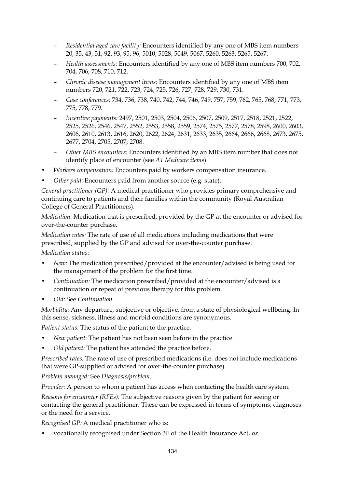- *Residential aged care facility:* Encounters identified by any one of MBS item numbers 20, 35, 43, 51, 92, 93, 95, 96, 5010, 5028, 5049, 5067, 5260, 5263, 5265, 5267.
- *Health assessments:* Encounters identified by any one of MBS item numbers 700, 702, 704, 706, 708, 710, 712.
- *Chronic disease management items:* Encounters identified by any one of MBS item numbers 720, 721, 722, 723, 724, 725, 726, 727, 728, 729, 730, 731.
- *Case conferences:* 734, 736, 738, 740, 742, 744, 746, 749, 757, 759, 762, 765, 768, 771, 773, 775, 778, 779.
- *Incentive payments:* 2497, 2501, 2503, 2504, 2506, 2507, 2509, 2517, 2518, 2521, 2522, 2525, 2526, 2546, 2547, 2552, 2553, 2558, 2559, 2574, 2575, 2577, 2578, 2598, 2600, 2603, 2606, 2610, 2613, 2616, 2620, 2622, 2624, 2631, 2633, 2635, 2664, 2666, 2668, 2673, 2675, 2677, 2704, 2705, 2707, 2708.
- *Other MBS encounters:* Encounters identified by an MBS item number that does not identify place of encounter (see *A1 Medicare items*).
- *Workers compensation:* Encounters paid by workers compensation insurance.
- *Other paid:* Encounters paid from another source (e.g. state).

*General practitioner (GP):* A medical practitioner who provides primary comprehensive and continuing care to patients and their families within the community (Royal Australian College of General Practitioners).

*Medication:* Medication that is prescribed, provided by the GP at the encounter or advised for over-the-counter purchase.

*Medication rates:* The rate of use of all medications including medications that were prescribed, supplied by the GP and advised for over-the-counter purchase.

*Medication status:* 

- *New:* The medication prescribed/provided at the encounter/advised is being used for the management of the problem for the first time.
- *Continuation:* The medication prescribed/provided at the encounter/advised is a continuation or repeat of previous therapy for this problem.
- *Old:* See *Continuation.*

*Morbidity:* Any departure, subjective or objective, from a state of physiological wellbeing. In this sense, sickness, illness and morbid conditions are synonymous.

*Patient status:* The status of the patient to the practice.

- *New patient*: The patient has not been seen before in the practice.
- *Old patient:* The patient has attended the practice before.

*Prescribed rates:* The rate of use of prescribed medications (i.e. does not include medications that were GP-supplied or advised for over-the-counter purchase).

*Problem managed:* See *Diagnosis/problem.*

*Provider:* A person to whom a patient has access when contacting the health care system.

*Reasons for encounter (RFEs):* The subjective reasons given by the patient for seeing or contacting the general practitioner. These can be expressed in terms of symptoms, diagnoses or the need for a service.

*Recognised GP:* A medical practitioner who is:

• vocationally recognised under Section 3F of the Health Insurance Act, *or*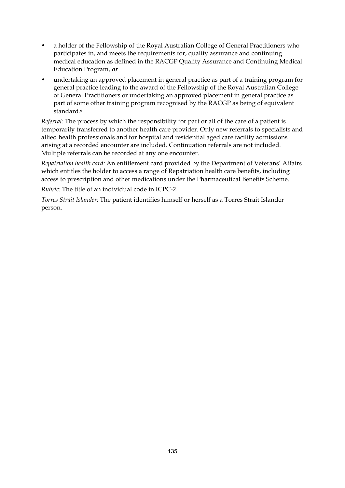- a holder of the Fellowship of the Royal Australian College of General Practitioners who participates in, and meets the requirements for, quality assurance and continuing medical education as defined in the RACGP Quality Assurance and Continuing Medical Education Program, *or*
- undertaking an approved placement in general practice as part of a training program for general practice leading to the award of the Fellowship of the Royal Australian College of General Practitioners or undertaking an approved placement in general practice as part of some other training program recognised by the RACGP as being of equivalent standard.<sup>6</sup>

*Referral:* The process by which the responsibility for part or all of the care of a patient is temporarily transferred to another health care provider. Only new referrals to specialists and allied health professionals and for hospital and residential aged care facility admissions arising at a recorded encounter are included. Continuation referrals are not included. Multiple referrals can be recorded at any one encounter.

*Repatriation health card:* An entitlement card provided by the Department of Veterans' Affairs which entitles the holder to access a range of Repatriation health care benefits, including access to prescription and other medications under the Pharmaceutical Benefits Scheme.

*Rubric:* The title of an individual code in ICPC-2.

*Torres Strait Islander:* The patient identifies himself or herself as a Torres Strait Islander person.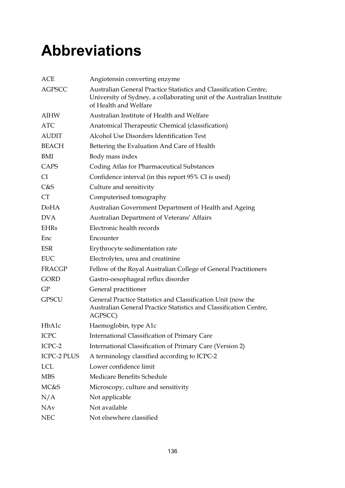## **Abbreviations**

| <b>ACE</b>         | Angiotensin converting enzyme                                                                                                                                        |
|--------------------|----------------------------------------------------------------------------------------------------------------------------------------------------------------------|
| <b>AGPSCC</b>      | Australian General Practice Statistics and Classification Centre,<br>University of Sydney, a collaborating unit of the Australian Institute<br>of Health and Welfare |
| <b>AIHW</b>        | Australian Institute of Health and Welfare                                                                                                                           |
| <b>ATC</b>         | Anatomical Therapeutic Chemical (classification)                                                                                                                     |
| <b>AUDIT</b>       | Alcohol Use Disorders Identification Test                                                                                                                            |
| <b>BEACH</b>       | Bettering the Evaluation And Care of Health                                                                                                                          |
| BMI                | Body mass index                                                                                                                                                      |
| CAPS               | Coding Atlas for Pharmaceutical Substances                                                                                                                           |
| CI.                | Confidence interval (in this report 95% CI is used)                                                                                                                  |
| C&S                | Culture and sensitivity                                                                                                                                              |
| <b>CT</b>          | Computerised tomography                                                                                                                                              |
| <b>DoHA</b>        | Australian Government Department of Health and Ageing                                                                                                                |
| <b>DVA</b>         | Australian Department of Veterans' Affairs                                                                                                                           |
| <b>EHRs</b>        | Electronic health records                                                                                                                                            |
| Enc                | Encounter                                                                                                                                                            |
| <b>ESR</b>         | Erythrocyte sedimentation rate                                                                                                                                       |
| EUC                | Electrolytes, urea and creatinine                                                                                                                                    |
| <b>FRACGP</b>      | Fellow of the Royal Australian College of General Practitioners                                                                                                      |
| <b>GORD</b>        | Gastro-oesophageal reflux disorder                                                                                                                                   |
| GP                 | General practitioner                                                                                                                                                 |
| <b>GPSCU</b>       | General Practice Statistics and Classification Unit (now the<br>Australian General Practice Statistics and Classification Centre,<br>AGPSCC)                         |
| HbA1c              | Haemoglobin, type A1c                                                                                                                                                |
| <b>ICPC</b>        | International Classification of Primary Care                                                                                                                         |
| ICPC-2             | International Classification of Primary Care (Version 2)                                                                                                             |
| <b>ICPC-2 PLUS</b> | A terminology classified according to ICPC-2                                                                                                                         |
| <b>LCL</b>         | Lower confidence limit                                                                                                                                               |
| <b>MBS</b>         | Medicare Benefits Schedule                                                                                                                                           |
| MC&S               | Microscopy, culture and sensitivity                                                                                                                                  |
| N/A                | Not applicable                                                                                                                                                       |
| <b>NAv</b>         | Not available                                                                                                                                                        |
| <b>NEC</b>         | Not elsewhere classified                                                                                                                                             |